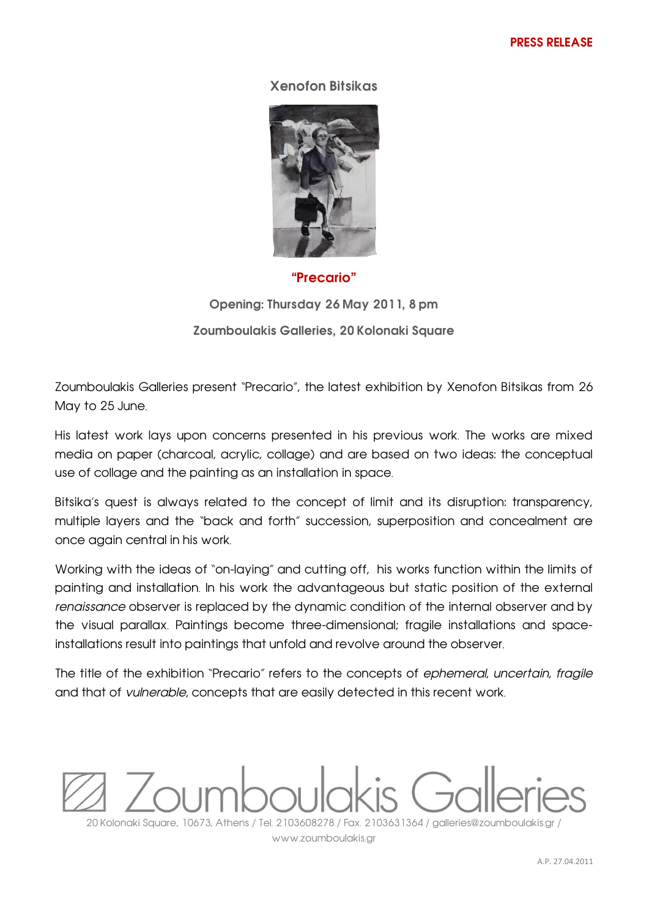## **Xenofon Bitsikas**



## **"Precario"**

**Opening: Thursday 26 May 2011, 8 pm Zoumboulakis Galleries, 20 Kolonaki Square**

Zoumboulakis Galleries present "Precario", the latest exhibition by Xenofon Bitsikas from 26 May to 25 June.

His latest work lays upon concerns presented in his previous work. The works are mixed media on paper (charcoal, acrylic, collage) and are based on two ideas: the conceptual use of collage and the painting as an installation in space.

Bitsika's quest is always related to the concept of limit and its disruption: transparency, multiple layers and the "back and forth" succession, superposition and concealment are once again central in his work.

Working with the ideas of "on-laying" and cutting off, his works function within the limits of painting and installation. In his work the advantageous but static position of the external *renaissance* observer is replaced by the dynamic condition of the internal observer and by the visual parallax. Paintings become three-dimensional; fragile installations and spaceinstallations result into paintings that unfold and revolve around the observer.

The title of the exhibition "Precario" refers to the concepts of *ephemeral*, *uncertain*, *fragile* and that of *vulnerable*, concepts that are easily detected in this recent work.



www.zoumboulakis.gr